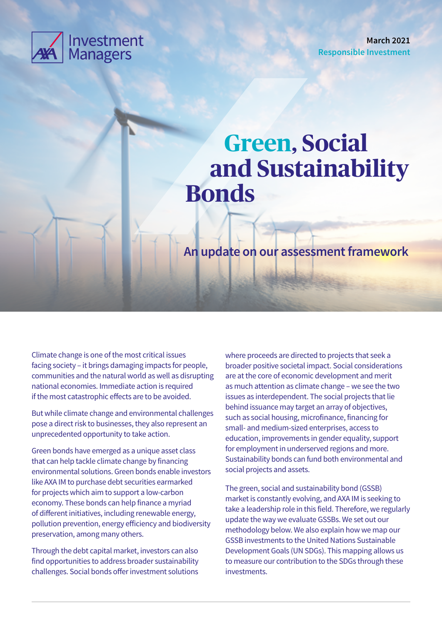

**March 2021 Responsible Investment**

# **Green, Social and Sustainability Bonds**

**An update on our assessment framework**

Climate change is one of the most critical issues facing society – it brings damaging impacts for people, communities and the natural world as well as disrupting national economies. Immediate action is required if the most catastrophic effects are to be avoided.

But while climate change and environmental challenges pose a direct risk to businesses, they also represent an unprecedented opportunity to take action.

Green bonds have emerged as a unique asset class that can help tackle climate change by financing environmental solutions. Green bonds enable investors like AXA IM to purchase debt securities earmarked for projects which aim to support a low-carbon economy. These bonds can help finance a myriad of different initiatives, including renewable energy, pollution prevention, energy efficiency and biodiversity preservation, among many others.

Through the debt capital market, investors can also find opportunities to address broader sustainability challenges. Social bonds offer investment solutions

where proceeds are directed to projects that seek a broader positive societal impact. Social considerations are at the core of economic development and merit as much attention as climate change – we see the two issues as interdependent. The social projects that lie behind issuance may target an array of objectives, such as social housing, microfinance, financing for small- and medium-sized enterprises, access to education, improvements in gender equality, support for employment in underserved regions and more. Sustainability bonds can fund both environmental and social projects and assets.

The green, social and sustainability bond (GSSB) market is constantly evolving, and AXA IM is seeking to take a leadership role in this field. Therefore, we regularly update the way we evaluate GSSBs. We set out our methodology below. We also explain how we map our GSSB investments to the United Nations Sustainable Development Goals (UN SDGs). This mapping allows us to measure our contribution to the SDGs through these investments.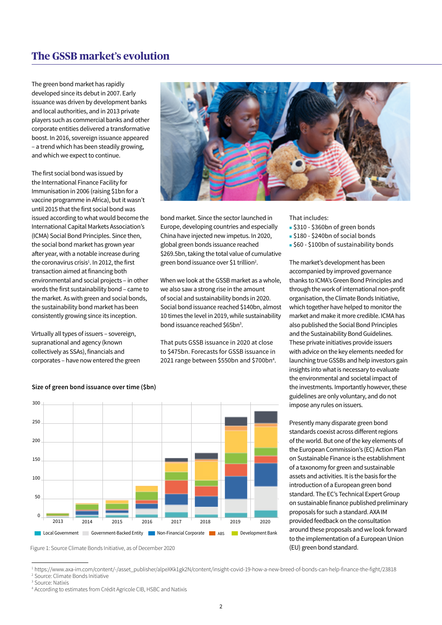# **The GSSB market's evolution**

The green bond market has rapidly developed since its debut in 2007. Early issuance was driven by development banks and local authorities, and in 2013 private players such as commercial banks and other corporate entities delivered a transformative boost. In 2016, sovereign issuance appeared – a trend which has been steadily growing, and which we expect to continue.

The first social bond was issued by the International Finance Facility for Immunisation in 2006 (raising \$1bn for a vaccine programme in Africa), but it wasn't until 2015 that the first social bond was issued according to what would become the International Capital Markets Association's (ICMA) Social Bond Principles. Since then, the social bond market has grown year after year, with a notable increase during the coronavirus crisis<sup>1</sup>. In 2012, the first transaction aimed at financing both environmental and social projects – in other words the first sustainability bond – came to the market. As with green and social bonds, the sustainability bond market has been consistently growing since its inception.

Virtually all types of issuers – sovereign, supranational and agency (known collectively as SSAs), financials and corporates – have now entered the green



bond market. Since the sector launched in Europe, developing countries and especially China have injected new impetus. In 2020, global green bonds issuance reached \$269.5bn, taking the total value of cumulative green bond issuance over \$1 trillion2 .

When we look at the GSSB market as a whole, we also saw a strong rise in the amount of social and sustainability bonds in 2020. Social bond issuance reached \$140bn, almost 10 times the level in 2019, while sustainability bond issuance reached \$65bn<sup>3</sup>.

That puts GSSB issuance in 2020 at close to \$475bn. Forecasts for GSSB issuance in 2021 range between \$550bn and \$700bn4 . That includes:

- <sup>n</sup> \$310 \$360bn of green bonds
- <sup>n</sup> \$180 \$240bn of social bonds
- <sup>n</sup> \$60 \$100bn of sustainability bonds

The market's development has been accompanied by improved governance thanks to ICMA's Green Bond Principles and through the work of international non-profit organisation, the Climate Bonds Initiative, which together have helped to monitor the market and make it more credible. ICMA has also published the Social Bond Principles and the Sustainability Bond Guidelines. These private initiatives provide issuers with advice on the key elements needed for launching true GSSBs and help investors gain insights into what is necessary to evaluate the environmental and societal impact of the investments. Importantly however, these guidelines are only voluntary, and do not impose any rules on issuers.

Presently many disparate green bond standards coexist across different regions of the world. But one of the key elements of the European Commission's (EC) Action Plan on Sustainable Finance is the establishment of a taxonomy for green and sustainable assets and activities. It is the basis for the introduction of a European green bond standard. The EC's Technical Expert Group on sustainable finance published preliminary proposals for such a standard. AXA IM provided feedback on the consultation around these proposals and we look forward to the implementation of a European Union (EU) green bond standard.



#### **Size of green bond issuance over time (\$bn)**

Figure 1: Source Climate Bonds Initiative, as of December 2020

<sup>1</sup> https://www.axa-im.com/content/-/asset\_publisher/alpeXKk1gk2N/content/insight-covid-19-how-a-new-breed-of-bonds-can-help-finance-the-fight/23818 2 Source: Climate Bonds Initiative

<sup>&</sup>lt;sup>3</sup> Source: Natixis

<sup>4</sup> According to estimates from Crédit Agricole CIB, HSBC and Natixis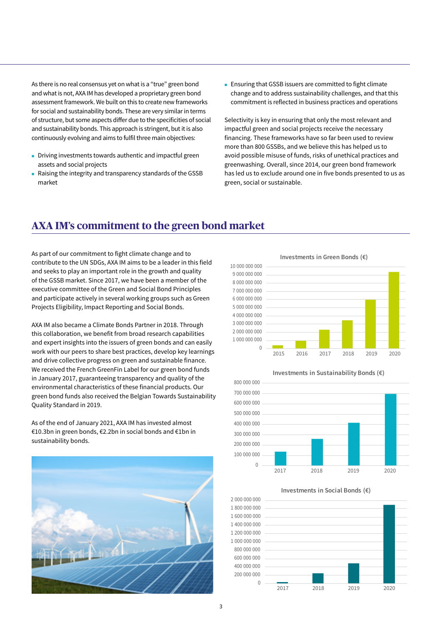As there is no real consensus yet on what is a "true" green bond and what is not, AXA IM has developed a proprietary green bond assessment framework. We built on this to create new frameworks for social and sustainability bonds. These are very similar in terms of structure, but some aspects differ due to the specificities of social and sustainability bonds. This approach is stringent, but it is also continuously evolving and aims to fulfil three main objectives:

- **n** Driving investments towards authentic and impactful green assets and social projects
- <sup>n</sup> Raising the integrity and transparency standards of the GSSB market

**Ensuring that GSSB issuers are committed to fight climate** change and to address sustainability challenges, and that this commitment is reflected in business practices and operations

Selectivity is key in ensuring that only the most relevant and impactful green and social projects receive the necessary financing. These frameworks have so far been used to review more than 800 GSSBs, and we believe this has helped us to avoid possible misuse of funds, risks of unethical practices and greenwashing. Overall, since 2014, our green bond framework has led us to exclude around one in five bonds presented to us as green, social or sustainable.

# **AXA IM's commitment to the green bond market**

As part of our commitment to fight climate change and to contribute to the UN SDGs, AXA IM aims to be a leader in this field and seeks to play an important role in the growth and quality of the GSSB market. Since 2017, we have been a member of the executive committee of the Green and Social Bond Principles and participate actively in several working groups such as Green Projects Eligibility, Impact Reporting and Social Bonds.

AXA IM also became a Climate Bonds Partner in 2018. Through this collaboration, we benefit from broad research capabilities and expert insights into the issuers of green bonds and can easily work with our peers to share best practices, develop key learnings and drive collective progress on green and sustainable finance. We received the French GreenFin Label for our green bond funds in January 2017, guaranteeing transparency and quality of the environmental characteristics of these financial products. Our green bond funds also received the Belgian Towards Sustainability Quality Standard in 2019.

As of the end of January 2021, AXA IM has invested almost €10.3bn in green bonds, €2.2bn in social bonds and €1bn in sustainability bonds.



**Investments in Green Bonds (€)**





**Investments in Social Bonds (€)**

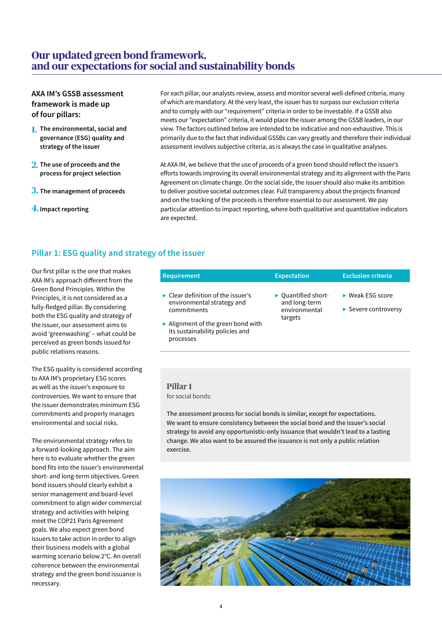# **Our updated green bond framework, and our expectations for social and sustainability bonds**

## **AXA IM's GSSB assessment framework is made up of four pillars:**

- **1. The environmental, social and governance (ESG) quality and strategy of the issuer**
- **2. The use of proceeds and the process for project selection**
- **3. The management of proceeds**
- **4. Impact reporting**

For each pillar, our analysts review, assess and monitor several well-defined criteria, many of which are mandatory. At the very least, the issuer has to surpass our exclusion criteria and to comply with our "requirement" criteria in order to be investable. If a GSSB also meets our "expectation" criteria, it would place the issuer among the GSSB leaders, in our view. The factors outlined below are intended to be indicative and non-exhaustive. This is primarily due to the fact that individual GSSBs can vary greatly and therefore their individual assessment involves subjective criteria, as is always the case in qualitative analyses.

At AXA IM, we believe that the use of proceeds of a green bond should reflect the issuer's efforts towards improving its overall environmental strategy and its alignment with the Paris Agreement on climate change. On the social side, the issuer should also make its ambition to deliver positive societal outcomes clear. Full transparency about the projects financed and on the tracking of the proceeds is therefore essential to our assessment. We pay particular attention to impact reporting, where both qualitative and quantitative indicators are expected.

# **Pillar 1: ESG quality and strategy of the issuer**

Our first pillar is the one that makes AXA IM's approach different from the Green Bond Principles. Within the Principles, it is not considered as a fully-fledged pillar. By considering both the ESG quality and strategy of the issuer, our assessment aims to avoid 'greenwashing' – what could be perceived as green bonds issued for public relations reasons.

The ESG quality is considered according to AXA IM's proprietary ESG scores as well as the issuer's exposure to controversies. We want to ensure that the issuer demonstrates minimum ESG commitments and properly manages environmental and social risks.

The environmental strategy refers to a forward-looking approach. The aim here is to evaluate whether the green bond fits into the issuer's environmental short- and long-term objectives. Green bond issuers should clearly exhibit a senior management and board-level commitment to align wider commercial strategy and activities with helping meet the COP21 Paris Agreement goals. We also expect green bond issuers to take action in order to align their business models with a global warming scenario below 2°C. An overall coherence between the environmental strategy and the green bond issuance is necessary.

| <b>Requirement</b>                                                                                                                                                                                       | <b>Expectation</b>                                               | <b>Exclusion criteria</b>                                    |  |  |  |  |
|----------------------------------------------------------------------------------------------------------------------------------------------------------------------------------------------------------|------------------------------------------------------------------|--------------------------------------------------------------|--|--|--|--|
| $\blacktriangleright$ Clear definition of the issuer's<br>environmental strategy and<br>commitments<br>$\triangleright$ Alignment of the green bond with<br>its sustainability policies and<br>processes | • Quantified short-<br>and long-term<br>environmental<br>targets | $\blacktriangleright$ Weak ESG score<br>▶ Severe controversy |  |  |  |  |

#### **Pillar 1** for social bonds:

**The assessment process for social bonds is similar, except for expectations. We want to ensure consistency between the social bond and the issuer's social strategy to avoid any opportunistic-only issuance that wouldn't lead to a lasting change. We also want to be assured the issuance is not only a public relation exercise.**

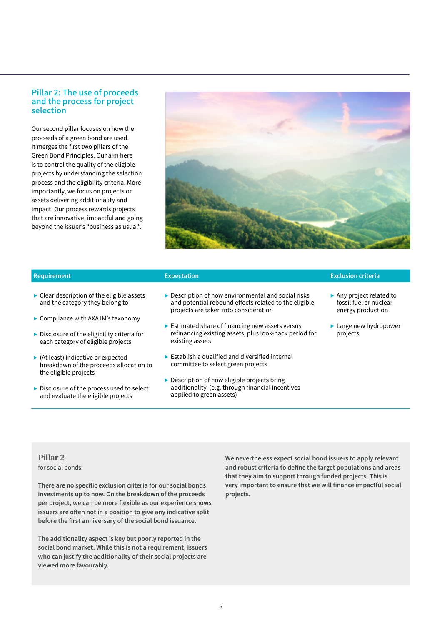### **Pillar 2: The use of proceeds and the process for project selection**

Our second pillar focuses on how the proceeds of a green bond are used. It merges the first two pillars of the Green Bond Principles. Our aim here is to control the quality of the eligible projects by understanding the selection process and the eligibility criteria. More importantly, we focus on projects or assets delivering additionality and impact. Our process rewards projects that are innovative, impactful and going beyond the issuer's "business as usual".



- 
- $\blacktriangleright$  Clear description of the eligible assets and the category they belong to
- ▶ Compliance with AXA IM's taxonomy
- $\blacktriangleright$  Disclosure of the eligibility criteria for each category of eligible projects
- $\blacktriangleright$  (At least) indicative or expected breakdown of the proceeds allocation to the eligible projects
- ▶ Disclosure of the process used to select and evaluate the eligible projects
- ▶ Description of how environmental and social risks and potential rebound effects related to the eligible projects are taken into consideration
- $\blacktriangleright$  Estimated share of financing new assets versus refinancing existing assets, plus look-back period for existing assets
- $\blacktriangleright$  Establish a qualified and diversified internal committee to select green projects
- ▶ Description of how eligible projects bring additionality (e.g. through financial incentives applied to green assets)

#### **Requirement Expectation Exclusion criteria**

- ▶ Any project related to fossil fuel or nuclear energy production
- ▶ Large new hydropower projects

#### **Pillar 2**

for social bonds:

**There are no specific exclusion criteria for our social bonds investments up to now. On the breakdown of the proceeds per project, we can be more flexible as our experience shows issuers are often not in a position to give any indicative split before the first anniversary of the social bond issuance.**

**The additionality aspect is key but poorly reported in the social bond market. While this is not a requirement, issuers who can justify the additionality of their social projects are viewed more favourably.**

**We nevertheless expect social bond issuers to apply relevant and robust criteria to define the target populations and areas that they aim to support through funded projects. This is very important to ensure that we will finance impactful social projects.**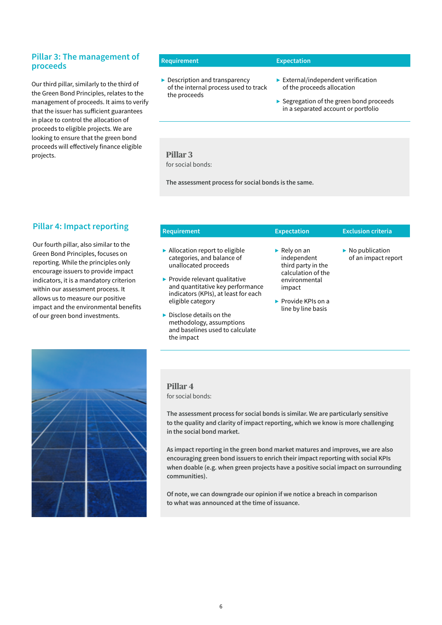#### **Pillar 3: The management of proceeds**

Our third pillar, similarly to the third of the Green Bond Principles, relates to the management of proceeds. It aims to verify that the issuer has sufficient guarantees in place to control the allocation of proceeds to eligible projects. We are looking to ensure that the green bond proceeds will effectively finance eligible projects.

#### **Requirement Expectation**

▶ Description and transparency of the internal process used to track the proceeds

- $\blacktriangleright$  External/independent verification of the proceeds allocation
- ▶ Segregation of the green bond proceeds in a separated account or portfolio

#### **Pillar 3**  for social bonds:

**The assessment process for social bonds is the same.**

# **Pillar 4: Impact reporting**

Our fourth pillar, also similar to the Green Bond Principles, focuses on reporting. While the principles only encourage issuers to provide impact indicators, it is a mandatory criterion within our assessment process. It allows us to measure our positive impact and the environmental benefits of our green bond investments.

| <b>Requirement</b>                                                                                                                                                                                                                                                                                           | <b>Expectation</b>                                                                                                                                                | <b>Exclusion criteria</b>                              |  |  |  |  |
|--------------------------------------------------------------------------------------------------------------------------------------------------------------------------------------------------------------------------------------------------------------------------------------------------------------|-------------------------------------------------------------------------------------------------------------------------------------------------------------------|--------------------------------------------------------|--|--|--|--|
| $\blacktriangleright$ Allocation report to eligible<br>categories, and balance of<br>unallocated proceeds<br>$\blacktriangleright$ Provide relevant qualitative<br>and quantitative key performance<br>indicators (KPIs), at least for each<br>eligible category<br>$\triangleright$ Disclose details on the | Rely on an<br>independent<br>third party in the<br>calculation of the<br>environmental<br>impact<br>$\blacktriangleright$ Provide KPIs on a<br>line by line basis | $\triangleright$ No publication<br>of an impact report |  |  |  |  |
| methodology, assumptions<br>and baselines used to calculate<br>the impact                                                                                                                                                                                                                                    |                                                                                                                                                                   |                                                        |  |  |  |  |



**Pillar 4** for social bonds:

**The assessment process for social bonds is similar. We are particularly sensitive to the quality and clarity of impact reporting, which we know is more challenging in the social bond market.** 

**As impact reporting in the green bond market matures and improves, we are also encouraging green bond issuers to enrich their impact reporting with social KPIs when doable (e.g. when green projects have a positive social impact on surrounding communities).**

**Of note, we can downgrade our opinion if we notice a breach in comparison to what was announced at the time of issuance.**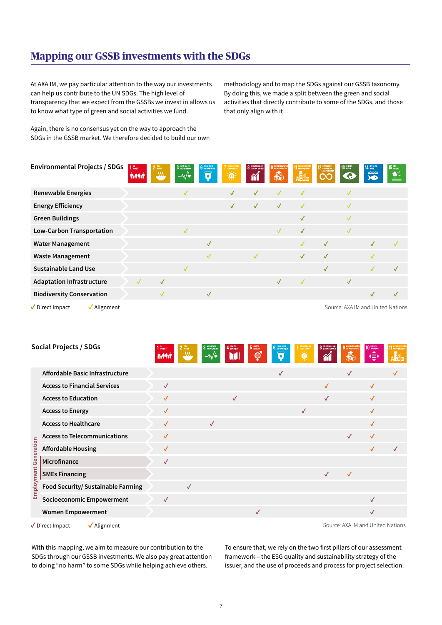# **Mapping our GSSB investments with the SDGs**

At AXA IM, we pay particular attention to the way our investments can help us contribute to the UN SDGs. The high level of transparency that we expect from the GSSBs we invest in allows us to know what type of green and social activities we fund.

Again, there is no consensus yet on the way to approach the SDGs in the GSSB market. We therefore decided to build our own methodology and to map the SDGs against our GSSB taxonomy. By doing this, we made a split between the green and social activities that directly contribute to some of the SDGs, and those that only align with it.

| <b>Environmental Projects / SDGs</b>                                 | $110$ rowsery<br><b>Aveen</b> | 2 <sup>2580</sup><br>322 | 3 GOD HEALTH<br>$-\mathcal{M}$ | <b>6</b> CLEAN WATER<br>$\overline{\mathbf{a}}$ | AFORMALEAN<br>美 | <b>8</b> DECENT MORKAND<br>$\gamma$ | 9 INDUSTRY, DOUTATION<br>$\clubsuit$ | 11 SISTAMBLE CITIES<br><sup>⊣</sup> | <b>12 RESPONSIBLE</b><br>AND PRODUCTION<br>QC | 13 GUNATE    | 14 UFE BELOW<br>ಮದ<br><b>XD</b>   | 15 UFF<br>$\triangleq$ |
|----------------------------------------------------------------------|-------------------------------|--------------------------|--------------------------------|-------------------------------------------------|-----------------|-------------------------------------|--------------------------------------|-------------------------------------|-----------------------------------------------|--------------|-----------------------------------|------------------------|
| <b>Renewable Energies</b>                                            |                               |                          | $\checkmark$                   |                                                 | $\checkmark$    | $\checkmark$                        | $\checkmark$                         | $\checkmark$                        |                                               |              |                                   |                        |
| <b>Energy Efficiency</b>                                             |                               |                          |                                |                                                 | $\checkmark$    | $\checkmark$                        | $\checkmark$                         | $\checkmark$                        |                                               |              |                                   |                        |
| <b>Green Buildings</b>                                               |                               |                          |                                |                                                 |                 |                                     |                                      | $\checkmark$                        |                                               | √            |                                   |                        |
| <b>Low-Carbon Transportation</b>                                     |                               |                          | $\checkmark$                   |                                                 |                 |                                     | $\checkmark$                         | $\checkmark$                        |                                               | ✓            |                                   |                        |
| <b>Water Management</b>                                              |                               |                          |                                | $\checkmark$                                    |                 |                                     |                                      | $\checkmark$                        | $\checkmark$                                  |              | $\checkmark$                      | $\checkmark$           |
| <b>Waste Management</b>                                              |                               |                          |                                | $\checkmark$                                    |                 | $\checkmark$                        |                                      | $\checkmark$                        | $\checkmark$                                  |              | $\checkmark$                      |                        |
| <b>Sustainable Land Use</b>                                          |                               |                          | √                              |                                                 |                 |                                     |                                      |                                     | $\checkmark$                                  |              | $\sqrt{}$                         | $\checkmark$           |
| <b>Adaptation Infrastructure</b>                                     | $\checkmark$                  | $\checkmark$             |                                |                                                 |                 |                                     | $\checkmark$                         | $\sqrt{}$                           |                                               | $\checkmark$ |                                   |                        |
| <b>Biodiversity Conservation</b>                                     |                               | $\checkmark$             |                                | $\checkmark$                                    |                 |                                     |                                      |                                     |                                               |              | $\checkmark$                      | $\checkmark$           |
| $\sqrt{\phantom{a}}$ Direct Impact<br>$\sqrt{\mathsf{Algorithment}}$ |                               |                          |                                |                                                 |                 |                                     |                                      |                                     |                                               |              | Source: AXA IM and United Nations |                        |

|                                                                                      | <b>Social Projects / SDGs</b>       | $110$ FOTERY | <b>AYAYA</b> | $2 \frac{7580}{H \text{WBER}}$<br>32 | 3 DOG HEALTH<br>–∿⁄∙ | 4 BUGATEN    | 5 GENER<br>ඉ් | <b>6</b> AND SANTATION<br>$\overline{\textbf{v}}$ | <b>7</b> AFFORDABLE AND<br>O.<br>אז | 8 DECENT WORK AND<br>$\tilde{\mathbb{M}}$ | 9 AKUSTRY, JANEANZIJE<br>В | <b>10 BEQUARES</b><br>$\blacktriangle$<br>$\bigoplus$ | 11 SUSTAINBLE CITIES<br>Alle |
|--------------------------------------------------------------------------------------|-------------------------------------|--------------|--------------|--------------------------------------|----------------------|--------------|---------------|---------------------------------------------------|-------------------------------------|-------------------------------------------|----------------------------|-------------------------------------------------------|------------------------------|
|                                                                                      | Affordable Basic Infrastructure     |              |              |                                      |                      |              |               | $\checkmark$                                      |                                     |                                           | $\checkmark$               |                                                       | ✓                            |
|                                                                                      | <b>Access to Financial Services</b> |              | $\checkmark$ |                                      |                      |              |               |                                                   |                                     | $\checkmark$                              |                            | $\checkmark$                                          |                              |
|                                                                                      | <b>Access to Education</b>          |              | $\checkmark$ |                                      |                      | $\checkmark$ |               |                                                   |                                     | $\checkmark$                              |                            | $\checkmark$                                          |                              |
|                                                                                      | <b>Access to Energy</b>             |              | $\checkmark$ |                                      |                      |              |               |                                                   | $\checkmark$                        |                                           |                            | $\checkmark$                                          |                              |
|                                                                                      | <b>Access to Healthcare</b>         |              | $\checkmark$ |                                      | $\checkmark$         |              |               |                                                   |                                     |                                           |                            | $\checkmark$                                          |                              |
|                                                                                      | <b>Access to Telecommunications</b> |              | $\checkmark$ |                                      |                      |              |               |                                                   |                                     |                                           | $\checkmark$               | $\checkmark$                                          |                              |
|                                                                                      | <b>Affordable Housing</b>           |              | $\checkmark$ |                                      |                      |              |               |                                                   |                                     |                                           |                            | $\checkmark$                                          | $\checkmark$                 |
|                                                                                      | Microfinance                        |              | $\checkmark$ |                                      |                      |              |               |                                                   |                                     |                                           |                            |                                                       |                              |
|                                                                                      | <b>SMEs Financing</b>               |              |              |                                      |                      |              |               |                                                   |                                     | $\checkmark$                              | $\checkmark$               |                                                       |                              |
| Employment Generation                                                                | Food Security/ Sustainable Farming  |              |              | $\checkmark$                         |                      |              |               |                                                   |                                     |                                           |                            |                                                       |                              |
|                                                                                      | <b>Socioeconomic Empowerment</b>    |              | $\checkmark$ |                                      |                      |              |               |                                                   |                                     |                                           |                            | $\checkmark$                                          |                              |
|                                                                                      | <b>Women Empowerment</b>            |              |              |                                      |                      |              | $\checkmark$  |                                                   |                                     |                                           |                            | $\checkmark$                                          |                              |
| Source: AXA IM and United Nations<br>$\sqrt{\mathsf{A}}$ lignment<br>✔ Direct Impact |                                     |              |              |                                      |                      |              |               |                                                   |                                     |                                           |                            |                                                       |                              |

With this mapping, we aim to measure our contribution to the SDGs through our GSSB investments. We also pay great attention to doing "no harm" to some SDGs while helping achieve others.

To ensure that, we rely on the two first pillars of our assessment framework – the ESG quality and sustainability strategy of the issuer, and the use of proceeds and process for project selection.